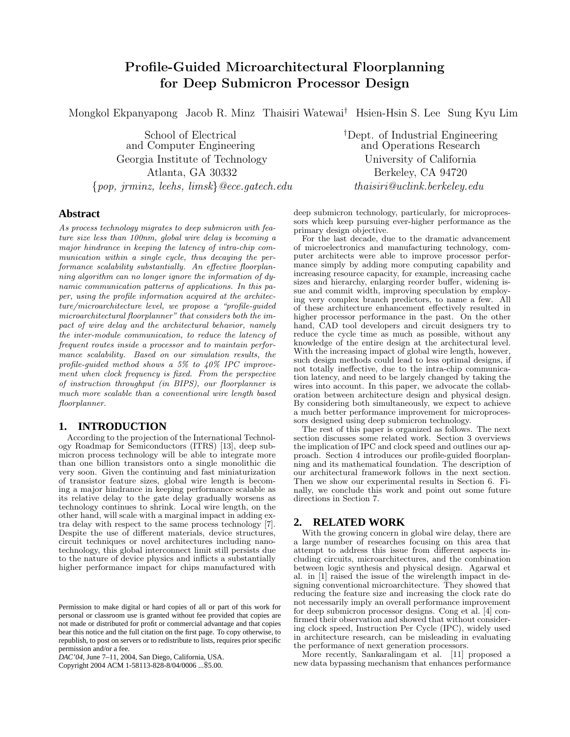# Profile-Guided Microarchitectural Floorplanning for Deep Submicron Processor Design

Mongkol Ekpanyapong Jacob R. Minz Thaisiri Watewai† Hsien-Hsin S. Lee Sung Kyu Lim

and Computer Engineering Georgia Institute of Technology University of California Atlanta, GA 30332 Berkeley, CA 94720  $\{pop, \, \text{jrmz}, \, \text{leeks}, \, \text{limsk}\}$ @ece.gatech.edu thaisiri@uclink.berkeley.edu

School of Electrical <sup>†</sup>Dept. of Industrial Engineering<br>
Computer Engineering and Operations Research

# **Abstract**

As process technology migrates to deep submicron with feature size less than 100nm, global wire delay is becoming a major hindrance in keeping the latency of intra-chip communication within a single cycle, thus decaying the performance scalability substantially. An effective floorplanning algorithm can no longer ignore the information of dynamic communication patterns of applications. In this paper, using the profile information acquired at the architecture/microarchitecture level, we propose a "profile-guided microarchitectural floorplanner" that considers both the impact of wire delay and the architectural behavior, namely the inter-module communication, to reduce the latency of frequent routes inside a processor and to maintain performance scalability. Based on our simulation results, the profile-guided method shows a 5% to 40% IPC improvement when clock frequency is fixed. From the perspective of instruction throughput (in BIPS), our floorplanner is much more scalable than a conventional wire length based floorplanner.

## **1. INTRODUCTION**

According to the projection of the International Technology Roadmap for Semiconductors (ITRS) [13], deep submicron process technology will be able to integrate more than one billion transistors onto a single monolithic die very soon. Given the continuing and fast miniaturization of transistor feature sizes, global wire length is becoming a major hindrance in keeping performance scalable as its relative delay to the gate delay gradually worsens as technology continues to shrink. Local wire length, on the other hand, will scale with a marginal impact in adding extra delay with respect to the same process technology [7]. Despite the use of different materials, device structures, circuit techniques or novel architectures including nanotechnology, this global interconnect limit still persists due to the nature of device physics and inflicts a substantially higher performance impact for chips manufactured with

*DAC'04,* June 7–11, 2004, San Diego, California, USA.

Copyright 2004 ACM 1-58113-828-8/04/0006 ...\$5.00.

deep submicron technology, particularly, for microprocessors which keep pursuing ever-higher performance as the primary design objective.

For the last decade, due to the dramatic advancement of microelectronics and manufacturing technology, computer architects were able to improve processor performance simply by adding more computing capability and increasing resource capacity, for example, increasing cache sizes and hierarchy, enlarging reorder buffer, widening issue and commit width, improving speculation by employing very complex branch predictors, to name a few. All of these architecture enhancement effectively resulted in higher processor performance in the past. On the other hand, CAD tool developers and circuit designers try to reduce the cycle time as much as possible, without any knowledge of the entire design at the architectural level. With the increasing impact of global wire length, however, such design methods could lead to less optimal designs, if not totally ineffective, due to the intra-chip communication latency, and need to be largely changed by taking the wires into account. In this paper, we advocate the collaboration between architecture design and physical design. By considering both simultaneously, we expect to achieve a much better performance improvement for microprocessors designed using deep submicron technology.

The rest of this paper is organized as follows. The next section discusses some related work. Section 3 overviews the implication of IPC and clock speed and outlines our approach. Section 4 introduces our profile-guided floorplanning and its mathematical foundation. The description of our architectural framework follows in the next section. Then we show our experimental results in Section 6. Finally, we conclude this work and point out some future directions in Section 7.

## **2. RELATED WORK**

With the growing concern in global wire delay, there are a large number of researches focusing on this area that attempt to address this issue from different aspects including circuits, microarchitectures, and the combination between logic synthesis and physical design. Agarwal et al. in [1] raised the issue of the wirelength impact in designing conventional microarchitecture. They showed that reducing the feature size and increasing the clock rate do not necessarily imply an overall performance improvement for deep submicron processor designs. Cong et al. [4] confirmed their observation and showed that without considering clock speed, Instruction Per Cycle (IPC), widely used in architecture research, can be misleading in evaluating the performance of next generation processors.

More recently, Sankaralingam et al. [11] proposed a new data bypassing mechanism that enhances performance

Permission to make digital or hard copies of all or part of this work for personal or classroom use is granted without fee provided that copies are not made or distributed for profit or commercial advantage and that copies bear this notice and the full citation on the first page. To copy otherwise, to republish, to post on servers or to redistribute to lists, requires prior specific permission and/or a fee.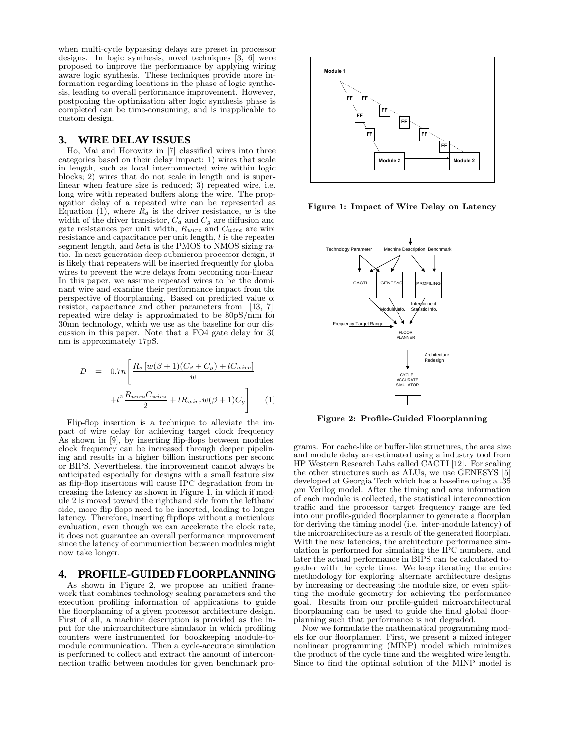when multi-cycle bypassing delays are preset in processor designs. In logic synthesis, novel techniques [3, 6] were proposed to improve the performance by applying wiring aware logic synthesis. These techniques provide more information regarding locations in the phase of logic synthesis, leading to overall performance improvement. However, postponing the optimization after logic synthesis phase is completed can be time-consuming, and is inapplicable to custom design.

## **3. WIRE DELAY ISSUES**

Ho, Mai and Horowitz in [7] classified wires into three categories based on their delay impact: 1) wires that scale in length, such as local interconnected wire within logic blocks; 2) wires that do not scale in length and is superlinear when feature size is reduced; 3) repeated wire, i.e. long wire with repeated buffers along the wire. The propagation delay of a repeated wire can be represented as Equation (1), where  $R_d$  is the driver resistance, w is the width of the driver transistor,  $C_d$  and  $C_g$  are diffusion and gate resistances per unit width,  $R_{wire}$  and  $C_{wire}$  are wire resistance and capacitance per unit length, l is the repeater segment length, and beta is the PMOS to NMOS sizing ratio. In next generation deep submicron processor design, it is likely that repeaters will be inserted frequently for global wires to prevent the wire delays from becoming non-linear. In this paper, we assume repeated wires to be the dominant wire and examine their performance impact from the perspective of floorplanning. Based on predicted value of resistor, capacitance and other parameters from [13, 7] repeated wire delay is approximated to be 80pS/mm for 30nm technology, which we use as the baseline for our discussion in this paper. Note that a FO4 gate delay for 30 nm is approximately 17pS.

$$
D = 0.7n \left[ \frac{R_d \left[ w(\beta + 1)(C_d + C_g) + lC_{wire} \right]}{w} + l^2 \frac{R_{wire} C_{wire}}{2} + lR_{wire} w(\beta + 1)C_g \right]
$$
 (1)

Flip-flop insertion is a technique to alleviate the impact of wire delay for achieving target clock frequency. As shown in [9], by inserting flip-flops between modules clock frequency can be increased through deeper pipelining and results in a higher billion instructions per second or BIPS. Nevertheless, the improvement cannot always be anticipated especially for designs with a small feature size as flip-flop insertions will cause IPC degradation from increasing the latency as shown in Figure 1, in which if module 2 is moved toward the righthand side from the lefthand side, more flip-flops need to be inserted, leading to longer latency. Therefore, inserting flipflops without a meticulous evaluation, even though we can accelerate the clock rate, it does not guarantee an overall performance improvement since the latency of communication between modules might now take longer.

## **4. PROFILE-GUIDED FLOORPLANNING**

As shown in Figure 2, we propose an unified framework that combines technology scaling parameters and the execution profiling information of applications to guide the floorplanning of a given processor architecture design. First of all, a machine description is provided as the input for the microarchitecture simulator in which profiling counters were instrumented for bookkeeping module-tomodule communication. Then a cycle-accurate simulation is performed to collect and extract the amount of interconnection traffic between modules for given benchmark pro-



Figure 1: Impact of Wire Delay on Latency



Figure 2: Profile-Guided Floorplanning

grams. For cache-like or buffer-like structures, the area size and module delay are estimated using a industry tool from HP Western Research Labs called CACTI [12]. For scaling the other structures such as ALUs, we use GENESYS [5] developed at Georgia Tech which has a baseline using a .35  $\mu$ m Verilog model. After the timing and area information of each module is collected, the statistical interconnection traffic and the processor target frequency range are fed into our profile-guided floorplanner to generate a floorplan for deriving the timing model (i.e. inter-module latency) of the microarchitecture as a result of the generated floorplan. With the new latencies, the architecture performance simulation is performed for simulating the IPC numbers, and later the actual performance in BIPS can be calculated together with the cycle time. We keep iterating the entire methodology for exploring alternate architecture designs by increasing or decreasing the module size, or even splitting the module geometry for achieving the performance goal. Results from our profile-guided microarchitectural floorplanning can be used to guide the final global floorplanning such that performance is not degraded.

Now we formulate the mathematical programming models for our floorplanner. First, we present a mixed integer nonlinear programming (MINP) model which minimizes the product of the cycle time and the weighted wire length. Since to find the optimal solution of the MINP model is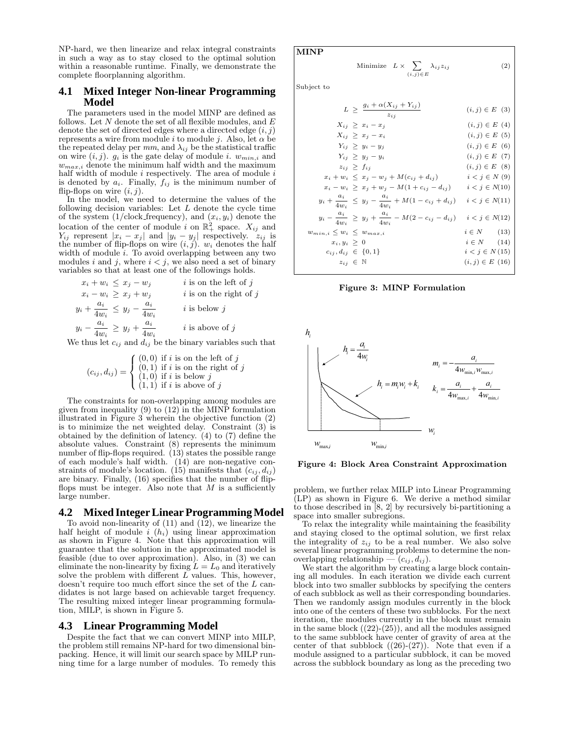NP-hard, we then linearize and relax integral constraints in such a way as to stay closed to the optimal solution within a reasonable runtime. Finally, we demonstrate the complete floorplanning algorithm.

### **4.1 Mixed Integer Non-linear Programming Model**

The parameters used in the model MINP are defined as follows. Let  $N$  denote the set of all flexible modules, and  $E$ denote the set of directed edges where a directed edge  $(i, j)$ represents a wire from module i to module j. Also, let  $\alpha$  be the repeated delay per  $mm$ , and  $\lambda_{ij}$  be the statistical traffic on wire  $(i, j)$ .  $g_i$  is the gate delay of module i.  $w_{min,i}$  and  $w_{max,i}$  denote the minimum half width and the maximum half width of module  $i$  respectively. The area of module  $i$ is denoted by  $a_i$ . Finally,  $f_{ij}$  is the minimum number of flip-flops on wire  $(i, j)$ .

In the model, we need to determine the values of the following decision variables: Let  $L$  denote the cycle time of the system  $(1/\text{clock\_frequency})$ , and  $(x_i, y_i)$  denote the location of the center of module i on  $\mathbb{R}^2_+$  space.  $X_{ij}$  and  $Y_{ij}$  represent  $|x_i - x_j|$  and  $|y_i - y_j|$  respectively.  $z_{ij}$  is the number of flip-flops on wire  $(i, j)$ .  $w_i$  denotes the half width of module  $i$ . To avoid overlapping between any two modules i and j, where  $i < j$ , we also need a set of binary variables so that at least one of the followings holds.

$$
x_i + w_i \le x_j - w_j \qquad i \text{ is on the left of } j
$$
  
\n
$$
x_i - w_i \ge x_j + w_j \qquad i \text{ is on the right of } j
$$
  
\n
$$
y_i + \frac{a_i}{4w_i} \le y_j - \frac{a_i}{4w_i} \qquad i \text{ is below } j
$$
  
\n
$$
y_i - \frac{a_i}{4w_i} \ge y_j + \frac{a_i}{4w_i} \qquad i \text{ is above of } j
$$

We thus let  $c_{ij}$  and  $d_{ij}$  be the binary variables such that

$$
(c_{ij}, d_{ij}) = \begin{cases} (0,0) \text{ if } i \text{ is on the left of } j \\ (0,1) \text{ if } i \text{ is on the right of } j \\ (1,0) \text{ if } i \text{ is below } j \\ (1,1) \text{ if } i \text{ is above of } j \end{cases}
$$

The constraints for non-overlapping among modules are given from inequality (9) to (12) in the MINP formulation illustrated in Figure 3 wherein the objective function (2) is to minimize the net weighted delay. Constraint (3) is obtained by the definition of latency. (4) to (7) define the absolute values. Constraint (8) represents the minimum number of flip-flops required. (13) states the possible range of each module's half width. (14) are non-negative constraints of module's location. (15) manifests that  $(c_{ij}, d_{ij})$ are binary. Finally, (16) specifies that the number of flipflops must be integer. Also note that  $M$  is a sufficiently large number.

#### **4.2 Mixed IntegerLinearProgrammingModel**

To avoid non-linearity of (11) and (12), we linearize the half height of module  $i(h_i)$  using linear approximation as shown in Figure 4. Note that this approximation will guarantee that the solution in the approximated model is feasible (due to over approximation). Also, in  $(3)$  we can eliminate the non-linearity by fixing  $L = L_0$  and iteratively solve the problem with different  $\overline{L}$  values. This, however, doesn't require too much effort since the set of the L candidates is not large based on achievable target frequency. The resulting mixed integer linear programming formulation, MILP, is shown in Figure 5.

#### **4.3 Linear Programming Model**

Despite the fact that we can convert MINP into MILP, the problem still remains NP-hard for two dimensional binpacking. Hence, it will limit our search space by MILP running time for a large number of modules. To remedy this

#### MINP

Minimize 
$$
L \times \sum_{(i,j) \in E} \lambda_{ij} z_{ij}
$$
 (2)

Subject to

$$
L \geq \frac{g_i + \alpha(X_{ij} + Y_{ij})}{z_{ij}} \qquad (i, j) \in E \quad (3)
$$
\n
$$
X_{ij} \geq x_i - x_j \qquad (i, j) \in E \quad (4)
$$
\n
$$
X_{ij} \geq x_j - x_i \qquad (i, j) \in E \quad (5)
$$
\n
$$
Y_{ij} \geq y_i - y_j \qquad (i, j) \in E \quad (6)
$$
\n
$$
Y_{ij} \geq y_j - y_i \qquad (i, j) \in E \quad (7)
$$
\n
$$
z_{ij} \geq f_{ij} \qquad (i, j) \in E \quad (8)
$$
\n
$$
x_i + w_i \leq x_j - w_j + M(c_{ij} + d_{ij}) \qquad i < j \in N \quad (9)
$$
\n
$$
x_i - w_i \geq x_j + w_j - M(1 + c_{ij} - d_{ij}) \qquad i < j \in N \quad (10)
$$
\n
$$
y_i + \frac{a_i}{4w_i} \leq y_j - \frac{a_i}{4w_i} + M(1 - c_{ij} + d_{ij}) \qquad i < j \in N \quad (11)
$$
\n
$$
y_i - \frac{a_i}{4w_i} \geq y_j + \frac{a_i}{4w_i} - M(2 - c_{ij} - d_{ij}) \qquad i < j \in N \quad (12)
$$
\n
$$
w_{min,i} \leq w_i \leq w_{max,i} \qquad i \in N \quad (13)
$$
\n
$$
x_i, y_i \geq 0 \qquad i \in N \quad (14)
$$
\n
$$
c_{ij}, d_{ij} \in \{0, 1\} \qquad i < j \in N \quad (15)
$$
\n
$$
z_{ij} \in N \qquad (i, j) \in E \quad (16)
$$





Figure 4: Block Area Constraint Approximation

problem, we further relax MILP into Linear Programming (LP) as shown in Figure 6. We derive a method similar to those described in [8, 2] by recursively bi-partitioning a space into smaller subregions.

To relax the integrality while maintaining the feasibility and staying closed to the optimal solution, we first relax the integrality of  $z_{ij}$  to be a real number. We also solve several linear programming problems to determine the nonoverlapping relationship —  $(c_{ij}, d_{ij})$ .

We start the algorithm by creating a large block containing all modules. In each iteration we divide each current block into two smaller subblocks by specifying the centers of each subblock as well as their corresponding boundaries. Then we randomly assign modules currently in the block into one of the centers of these two subblocks. For the next iteration, the modules currently in the block must remain in the same block  $((22)-(25))$ , and all the modules assigned to the same subblock have center of gravity of area at the center of that subblock  $((26)-(27))$ . Note that even if a module assigned to a particular subblock, it can be moved across the subblock boundary as long as the preceding two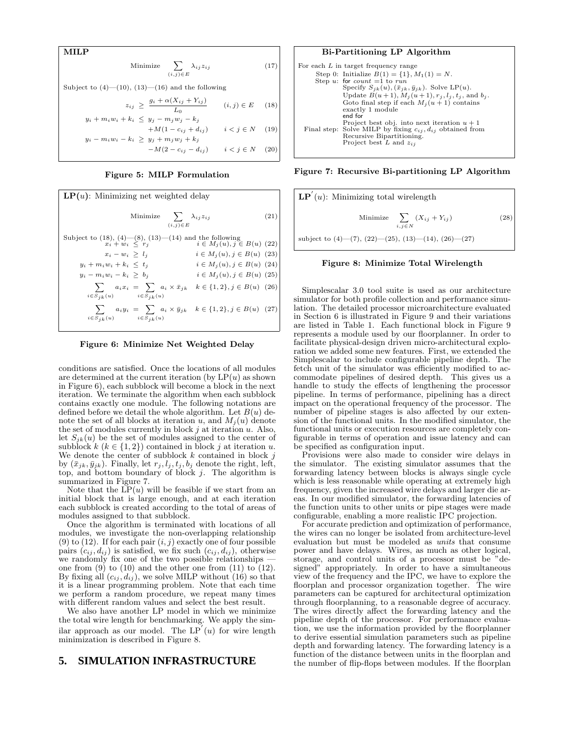**MILP**  
Minimize 
$$
\sum_{(i,j)\in E} \lambda_{ij} z_{ij}
$$
 (17)

Subject to  $(4)$ — $(10)$ ,  $(13)$ — $(16)$  and the following

$$
z_{ij} \ge \frac{g_i + \alpha(X_{ij} + Y_{ij})}{L_0} \qquad (i, j) \in E \quad (18)
$$

$$
y_i + m_i w_i + k_i \le y_j - m_j w_j - k_j
$$
  
+
$$
M(1 - c_{ij} + d_{ij}) \qquad i < j \in N
$$
 (19)  

$$
y_i - m_i w_i - k_i \ge y_j + m_j w_j + k_j
$$

$$
-M(2 - c_{ij} - d_{ij}) \qquad i < j \in N \quad (20)
$$

#### Figure 5: MILP Formulation

| $\mathbf{LP}(u)$ : Minimizing net weighted delay                                                                           |                                 |     |  |  |  |  |
|----------------------------------------------------------------------------------------------------------------------------|---------------------------------|-----|--|--|--|--|
| Minimize $\sum_{i} \lambda_{ij} z_{ij}$<br>$(i, j) \in E$                                                                  |                                 | (21 |  |  |  |  |
| Subject to (18), (4)—(8), (13)—(14) and the following<br>$x_i + w_i \leq r_j$ $i \in M_j(u), j \in B(u)$ (22)              |                                 |     |  |  |  |  |
| $x_i - w_i > l_i$                                                                                                          | $i \in M_i(u), j \in B(u)$ (23) |     |  |  |  |  |
| $y_i + m_i w_i + k_i \leq t_i$                                                                                             | $i \in M_i(u), j \in B(u)$ (24) |     |  |  |  |  |
| $y_i - m_i w_i - k_i > b_i$                                                                                                | $i \in M_i(u), j \in B(u)$ (25) |     |  |  |  |  |
| $\sum a_i x_i = \sum a_i \times \bar{x}_{jk} \quad k \in \{1, 2\}, j \in B(u)$ (26)<br>$i \in S_{ik}(u)$ $i \in S_{ik}(u)$ |                                 |     |  |  |  |  |
| $\sum a_i y_i = \sum a_i \times \bar{y}_{jk} \quad k \in \{1, 2\}, j \in B(u)$ (27)<br>$i \in S_{ik}(u)$ $i \in S_{ik}(u)$ |                                 |     |  |  |  |  |

Figure 6: Minimize Net Weighted Delay

conditions are satisfied. Once the locations of all modules are determined at the current iteration (by  $LP(u)$  as shown in Figure 6), each subblock will become a block in the next iteration. We terminate the algorithm when each subblock contains exactly one module. The following notations are defined before we detail the whole algorithm. Let  $B(u)$  denote the set of all blocks at iteration u, and  $M_i(u)$  denote the set of modules currently in block  $j$  at iteration  $u$ . Also, let  $S_{ik}(u)$  be the set of modules assigned to the center of subblock  $k$  ( $k \in \{1, 2\}$ ) contained in block j at iteration u. We denote the center of subblock  $k$  contained in block  $j$ by  $(\bar{x}_{jk}, \bar{y}_{jk})$ . Finally, let  $r_j, l_j, t_j, b_j$  denote the right, left, top, and bottom boundary of block  $j$ . The algorithm is summarized in Figure 7.

Note that the  $\text{LP}(u)$  will be feasible if we start from an initial block that is large enough, and at each iteration each subblock is created according to the total of areas of modules assigned to that subblock.

Once the algorithm is terminated with locations of all modules, we investigate the non-overlapping relationship (9) to (12). If for each pair  $(i, j)$  exactly one of four possible pairs  $(c_{ij}, d_{ij})$  is satisfied, we fix such  $(c_{ij}, d_{ij})$ , otherwise we randomly fix one of the two possible relationships one from  $(9)$  to  $(10)$  and the other one from  $(11)$  to  $(12)$ . By fixing all  $(c_{ij}, d_{ij})$ , we solve MILP without (16) so that it is a linear programming problem. Note that each time we perform a random procedure, we repeat many times with different random values and select the best result.

We also have another LP model in which we minimize the total wire length for benchmarking. We apply the similar approach as our model. The  $LP'(u)$  for wire length minimization is described in Figure 8.

## **5. SIMULATION INFRASTRUCTURE**

#### Bi-Partitioning LP Algorithm

| For each $L$ in target frequency range                                 |
|------------------------------------------------------------------------|
| Step 0: Initialize $B(1) = \{1\}, M_1(1) = N$ .                        |
| Step u: for count $=1$ to run                                          |
| Specify $S_{ik}(u)$ , $(\bar{x}_{ik}, \bar{y}_{ik})$ . Solve LP(u).    |
| Update $B(u + 1)$ , $M_i(u + 1)$ , $r_i$ , $l_i$ , $t_i$ , and $b_i$ . |
| Goto final step if each $M_i(u + 1)$ contains                          |
| exactly 1 module                                                       |
| end for                                                                |
| Project best obj. into next iteration $u + 1$                          |
| Final step: Solve MILP by fixing $c_{ij}$ , $d_{ij}$ obtained from     |
| Recursive Bipartitioning.                                              |
| Project best L and $z_{ij}$                                            |
|                                                                        |

Figure 7: Recursive Bi-partitioning LP Algorithm

$$
\mathbf{LP}'(u): \text{ Minimizing total wirelength} \\ \text{Minimize } \sum_{i,j \in N} (X_{ij} + Y_{ij}) \\ \text{subject to (4)–(7), (22)–(25), (13)–(14), (26)–(27)}
$$

#### Figure 8: Minimize Total Wirelength

Simplescalar 3.0 tool suite is used as our architecture simulator for both profile collection and performance simulation. The detailed processor microarchitecture evaluated in Section 6 is illustrated in Figure 9 and their variations are listed in Table 1. Each functional block in Figure 9 represents a module used by our floorplanner. In order to facilitate physical-design driven micro-architectural exploration we added some new features. First, we extended the Simplescalar to include configurable pipeline depth. The fetch unit of the simulator was efficiently modified to accommodate pipelines of desired depth. This gives us a handle to study the effects of lengthening the processor pipeline. In terms of performance, pipelining has a direct impact on the operational frequency of the processor. The number of pipeline stages is also affected by our extension of the functional units. In the modified simulator, the functional units or execution resources are completely configurable in terms of operation and issue latency and can be specified as configuration input.

Provisions were also made to consider wire delays in the simulator. The existing simulator assumes that the forwarding latency between blocks is always single cycle which is less reasonable while operating at extremely high frequency, given the increased wire delays and larger die areas. In our modified simulator, the forwarding latencies of the function units to other units or pipe stages were made configurable, enabling a more realistic IPC projection.

For accurate prediction and optimization of performance, the wires can no longer be isolated from architecture-level evaluation but must be modeled as units that consume power and have delays. Wires, as much as other logical, storage, and control units of a processor must be "designed" appropriately. In order to have a simultaneous view of the frequency and the IPC, we have to explore the floorplan and processor organization together. The wire parameters can be captured for architectural optimization through floorplanning, to a reasonable degree of accuracy. The wires directly affect the forwarding latency and the pipeline depth of the processor. For performance evaluation, we use the information provided by the floorplanner to derive essential simulation parameters such as pipeline depth and forwarding latency. The forwarding latency is a function of the distance between units in the floorplan and the number of flip-flops between modules. If the floorplan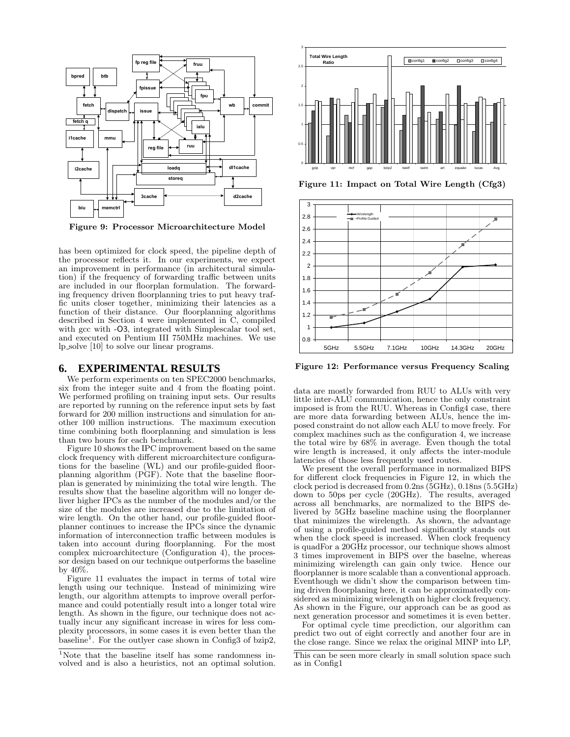

Figure 9: Processor Microarchitecture Model

has been optimized for clock speed, the pipeline depth of the processor reflects it. In our experiments, we expect an improvement in performance (in architectural simulation) if the frequency of forwarding traffic between units are included in our floorplan formulation. The forwarding frequency driven floorplanning tries to put heavy traffic units closer together, minimizing their latencies as a function of their distance. Our floorplanning algorithms described in Section 4 were implemented in C, compiled with gcc with  $-O3$ , integrated with Simplescalar tool set, and executed on Pentium III 750MHz machines. We use lp solve [10] to solve our linear programs.

### **6. EXPERIMENTAL RESULTS**

We perform experiments on ten SPEC2000 benchmarks, six from the integer suite and 4 from the floating point. We performed profiling on training input sets. Our results are reported by running on the reference input sets by fast forward for 200 million instructions and simulation for another 100 million instructions. The maximum execution time combining both floorplanning and simulation is less than two hours for each benchmark.

Figure 10 shows the IPC improvement based on the same clock frequency with different microarchitecture configurations for the baseline (WL) and our profile-guided floorplanning algorithm (PGF). Note that the baseline floorplan is generated by minimizing the total wire length. The results show that the baseline algorithm will no longer deliver higher IPCs as the number of the modules and  $\bar{O}$  the size of the modules are increased due to the limitation of wire length. On the other hand, our profile-guided floorplanner continues to increase the IPCs since the dynamic information of interconnection traffic between modules is taken into account during floorplanning. For the most complex microarchitecture (Configuration 4), the processor design based on our technique outperforms the baseline by 40%.

Figure 11 evaluates the impact in terms of total wire length using our technique. Instead of minimizing wire length, our algorithm attempts to improve overall performance and could potentially result into a longer total wire length. As shown in the figure, our technique does not actually incur any significant increase in wires for less complexity processors, in some cases it is even better than the baseline<sup>1</sup>. For the outlyer case shown in Config3 of bzip2,



Figure 11: Impact on Total Wire Length (Cfg3)



Figure 12: Performance versus Frequency Scaling

data are mostly forwarded from RUU to ALUs with very little inter-ALU communication, hence the only constraint imposed is from the RUU. Whereas in Config4 case, there are more data forwarding between ALUs, hence the imposed constraint do not allow each ALU to move freely. For complex machines such as the configuration 4, we increase the total wire by 68% in average. Even though the total wire length is increased, it only affects the inter-module latencies of those less frequently used routes.

We present the overall performance in normalized BIPS for different clock frequencies in Figure 12, in which the clock period is decreased from 0.2ns (5GHz), 0.18ns (5.5GHz) down to 50ps per cycle (20GHz). The results, averaged across all benchmarks, are normalized to the BIPS delivered by 5GHz baseline machine using the floorplanner that minimizes the wirelength. As shown, the advantage of using a profile-guided method significantly stands out when the clock speed is increased. When clock frequency is quadFor a 20GHz processor, our technique shows almost 3 times improvement in BIPS over the baselne, whereas minimizing wirelength can gain only twice. Hence our floorplanner is more scalable than a conventional approach. Eventhough we didn't show the comparison between timing driven floorplaning here, it can be approximatedly considered as minimizing wirelength on higher clock frequency. As shown in the Figure, our approach can be as good as next generation processor and sometimes it is even better.

For optimal cycle time precdiction, our algorithm can predict two out of eight correctly and another four are in the close range. Since we relax the original MINP into LP,

<sup>&</sup>lt;sup>1</sup>Note that the baseline itself has some randomness involved and is also a heuristics, not an optimal solution.

This can be seen more clearly in small solution space such as in Config1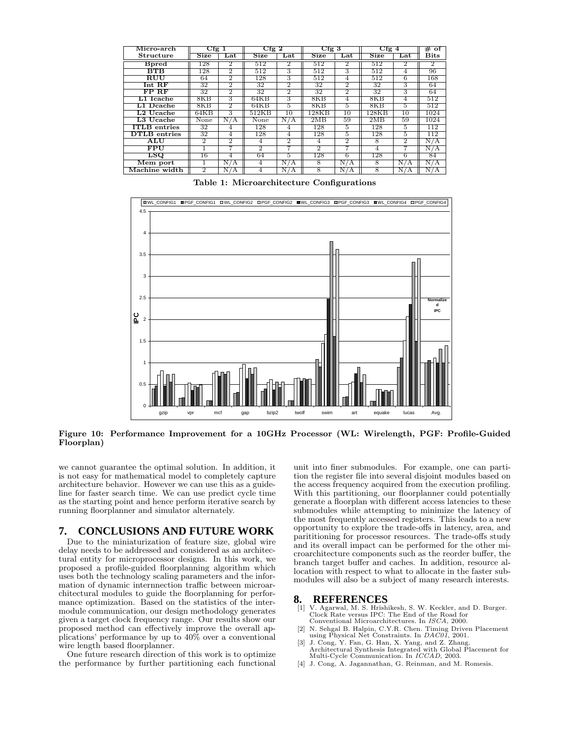| Micro-arch                 | Cfg1 |       | Cfg <sub>2</sub>            |           | Cfg 3                    |                | $Cfg$ 4 |        | #<br>оf        |
|----------------------------|------|-------|-----------------------------|-----------|--------------------------|----------------|---------|--------|----------------|
| Structure                  | Size | Lat   | <b>Size</b>                 | Lat       | Size                     | Lat            | Size    | Lat.   | <b>Bits</b>    |
| <b>B</b> pred              | 128  | 2     | 512                         | 2         | 512                      | 2              | 512     | 2      | $\overline{2}$ |
| BTB                        | 128  | 2     | 512                         | 3         | 512                      | З              | 512     | 4      | 96             |
| RUU                        | 64   | 2     | 128                         | 3         | 512                      | 4              | 512     | 6      | 168            |
| $Int$ RF                   | 32   | 2     | 32                          | 2         | 32                       | 2              | 32      | 3      | 64             |
| FP RF                      | 32   | 2     | 32                          | 2         | 32                       | $\overline{2}$ | 32      | 3      | 64             |
| $\tt L1$ Icache            | 8KB  | З     | 64KB                        | 3         | 8KB                      | 4              | 8KB     | 4      | 512            |
| $L1$ Dcache                | 8KB  | 2     | 64KB                        | 5         | 8KB                      | 5.             | 8KB     | 5      | 512            |
| $\operatorname{L2}$ Ucache | 64KB | 3     | 512KB                       | 10        | 128KB                    | 10             | 128KB   | 10     | 1024           |
| $L3$ Ucache                | None | N / A | None                        | N/A       | 2MB                      | 59             | 2MB     | 59     | 1024           |
| <b>ITLB</b> entries        | 32   |       | 128                         | 4         | 128                      | Ð.             | 128     | Ð.     | 112            |
| <b>DTLB</b> entries        | 32   | 4     | 128                         | 4         | 128                      | Ð.             | 128     | Ð.     | 112            |
| ALU                        | 2    | 2     | 4                           | 2         | 4                        | 2              | 8       | 2      | N/A            |
| FPU                        |      |       | $\mathcal{D}_{\mathcal{L}}$ |           | $\mathfrak{D}_{1}^{(1)}$ |                | 4       |        | N<br>ΙA.       |
| LSO                        | 16   |       | 64                          | 5         | 128                      | 6              | 128     | 6      | 84             |
| Mem port                   |      | ' A   | 4                           | N.<br>' A | 8                        | N<br>/ A       | 8       | Ν<br>Ά | N<br>/А        |
| Machine width              | 2    | Ά     | 4                           | Ν<br>А    | 8                        | N<br>Ά         | 8       | Ν      | Ν<br>' A       |

Table 1: Microarchitecture Configurations



Figure 10: Performance Improvement for a 10GHz Processor (WL: Wirelength, PGF: Profile-Guided Floorplan)

we cannot guarantee the optimal solution. In addition, it is not easy for mathematical model to completely capture architecture behavior. However we can use this as a guideline for faster search time. We can use predict cycle time as the starting point and hence perform iterative search by running floorplanner and simulator alternately.

## **7. CONCLUSIONS AND FUTURE WORK**

Due to the miniaturization of feature size, global wire delay needs to be addressed and considered as an architectural entity for microprocessor designs. In this work, we proposed a profile-guided floorplanning algorithm which uses both the technology scaling parameters and the information of dynamic internnection traffic between microarchitectural modules to guide the floorplanning for performance optimization. Based on the statistics of the intermodule communication, our design methodology generates given a target clock frequency range. Our results show our proposed method can effectively improve the overall applications' performance by up to 40% over a conventional wire length based floorplanner.

One future research direction of this work is to optimize the performance by further partitioning each functional unit into finer submodules. For example, one can partition the register file into several disjoint modules based on the access frequency acquired from the execution profiling. With this partitioning, our floorplanner could potentially generate a floorplan with different access latencies to these submodules while attempting to minimize the latency of the most frequently accessed registers. This leads to a new opportunity to explore the trade-offs in latency, area, and parititioning for processor resources. The trade-offs study and its overall impact can be performed for the other microarchitecture components such as the reorder buffer, the branch target buffer and caches. In addition, resource allocation with respect to what to allocate in the faster submodules will also be a subject of many research interests.

# **8. REFERENCES** [1] V. Agarwal, M. S. Hrish

- [1] V. Agarwal, M. S. Hrishikesh, S. W. Keckler, and D. Burger. Clock Rate versus IPC: The End of the Road for Conventional Microarchitectures. In ISCA, 2000.
- [2] N. Sehgal B. Halpin, C.Y.R. Chen. Timing Driven Placement using Physical Net Constraints. In DAC01, 2001.
- [3] J. Cong, Y. Fan, G. Han, X. Yang, and Z. Zhang. Architectural Synthesis Integrated with Global Placement for Multi-Cycle Communication. In ICCAD, 2003.
- [4] J. Cong, A. Jagannathan, G. Reinman, and M. Romesis.